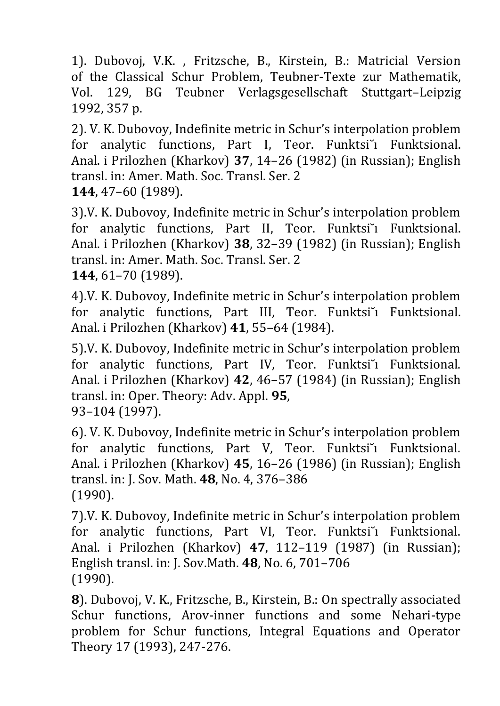1). Dubovoj, V.K. , Fritzsche, B., Kirstein, B.: Matricial Version of the Classical Schur Problem, Teubner-Texte zur Mathematik, Vol. 129, BG Teubner Verlagsgesellschaft Stuttgart–Leipzig 1992, 357 p.

2). V. K. Dubovoy, Indefinite metric in Schur's interpolation problem for analytic functions, Part I, Teor. Funktsi i Funktsional. Anal. i Prilozhen (Kharkov) **37**, 14–26 (1982) (in Russian); English transl. in: Amer. Math. Soc. Transl. Ser. 2 **144**, 47–60 (1989).

3).V. K. Dubovoy, Indefinite metric in Schur's interpolation problem for analytic functions, Part II, Teor. Funktsi i Funktsional. Anal. i Prilozhen (Kharkov) **38**, 32–39 (1982) (in Russian); English transl. in: Amer. Math. Soc. Transl. Ser. 2 **144**, 61–70 (1989).

4).V. K. Dubovoy, Indefinite metric in Schur's interpolation problem for analytic functions, Part III, Teor. Funktsi i Funktsional. Anal. i Prilozhen (Kharkov) **41**, 55–64 (1984).

5).V. K. Dubovoy, Indefinite metric in Schur's interpolation problem for analytic functions, Part IV, Teor. Funktsi i Funktsional. Anal. i Prilozhen (Kharkov) **42**, 46–57 (1984) (in Russian); English transl. in: Oper. Theory: Adv. Appl. **95**, 93–104 (1997).

6). V. K. Dubovoy, Indefinite metric in Schur's interpolation problem for analytic functions, Part V, Teor. Funktsi i Funktsional. Anal. i Prilozhen (Kharkov) **45**, 16–26 (1986) (in Russian); English transl. in: J. Sov. Math. **48**, No. 4, 376–386 (1990).

7).V. K. Dubovoy, Indefinite metric in Schur's interpolation problem for analytic functions, Part VI, Teor. Funktsi~i Funktsional. Anal. i Prilozhen (Kharkov) **47**, 112–119 (1987) (in Russian); English transl. in: J. Sov.Math. **48**, No. 6, 701–706 (1990).

**8**). Dubovoj, V. K., Fritzsche, B., Kirstein, B.: On spectrally associated Schur functions, Arov-inner functions and some Nehari-type problem for Schur functions, Integral Equations and Operator Theory 17 (1993), 247-276.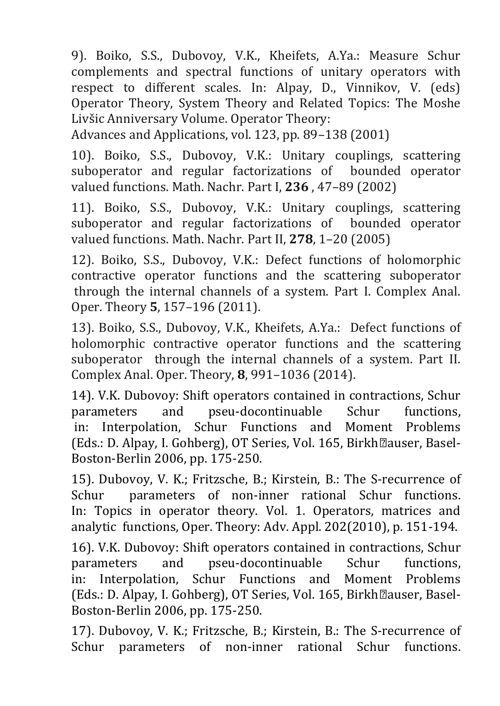9). Boiko, S.S., Dubovoy, V.K., Kheifets, A.Ya.: Measure Schur complements and spectral functions of unitary operators with respect to different scales. In: Alpay, D., Vinnikov, V. (eds) Operator Theory, System Theory and Related Topics: The Moshe Livšic Anniversary Volume. Operator Theory:

Advances and Applications, vol. 123, pp. 89–138 (2001)

10). Boiko, S.S., Dubovoy, V.K.: Unitary couplings, scattering suboperator and regular factorizations of bounded operator valued functions. Math. Nachr. Part I, **236** , 47–89 (2002)

11). Boiko, S.S., Dubovoy, V.K.: Unitary couplings, scattering suboperator and regular factorizations of bounded operator valued functions. Math. Nachr. Part II, **278**, 1–20 (2005)

12). Boiko, S.S., Dubovoy, V.K.: Defect functions of holomorphic contractive operator functions and the scattering suboperator through the internal channels of a system. Part I. Complex Anal. Oper. Theory **5**, 157–196 (2011).

13). Boiko, S.S., Dubovoy, V.K., Kheifets, A.Ya.: Defect functions of holomorphic contractive operator functions and the scattering suboperator through the internal channels of a system. Part II. Complex Anal. Oper. Theory, **8**, 991–1036 (2014).

14). V.K. Dubovoy: Shift operators contained in contractions, Schur parameters and pseu-docontinuable Schur functions, in: Interpolation, Schur Functions and Moment Problems (Eds.: D. Alpay, I. Gohberg), OT Series, Vol. 165, Birkh•auser, Basel-Boston-Berlin 2006, pp. 175-250.

15). Dubovoy, V. K.; Fritzsche, B.; Kirstein, B.: The S-recurrence of Schur parameters of non-inner rational Schur functions. In: Topics in operator theory. Vol. 1. Operators, matrices and analytic functions, Oper. Theory: Adv. Appl. 202(2010), p. 151-194.

16). V.K. Dubovoy: Shift operators contained in contractions, Schur parameters and pseu-docontinuable Schur functions, in: Interpolation, Schur Functions and Moment Problems (Eds.: D. Alpay, I. Gohberg), OT Series, Vol. 165, Birkh•auser, Basel-Boston-Berlin 2006, pp. 175-250.

17). Dubovoy, V. K.; Fritzsche, B.; Kirstein, B.: The S-recurrence of Schur parameters of non-inner rational Schur functions.